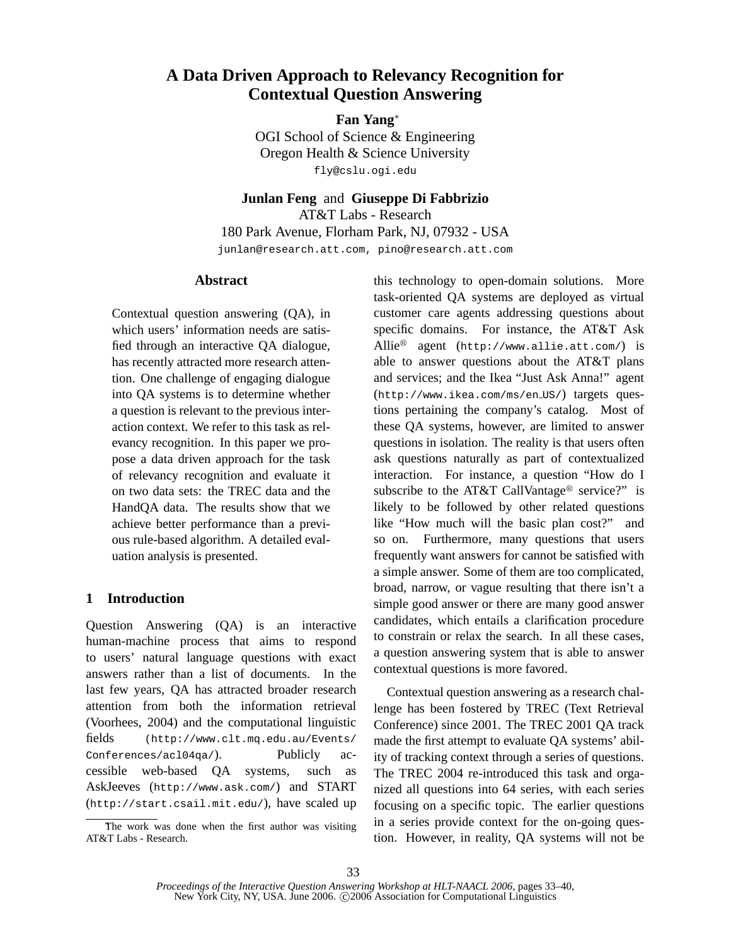# **A Data Driven Approach to Relevancy Recognition for Contextual Question Answering**

## **Fan Yang**<sup>∗</sup>

OGI School of Science & Engineering Oregon Health & Science University fly@cslu.ogi.edu

**Junlan Feng** and **Giuseppe Di Fabbrizio**

AT&T Labs - Research 180 Park Avenue, Florham Park, NJ, 07932 - USA junlan@research.att.com, pino@research.att.com

## **Abstract**

Contextual question answering (QA), in which users' information needs are satisfied through an interactive QA dialogue, has recently attracted more research attention. One challenge of engaging dialogue into QA systems is to determine whether a question is relevant to the previous interaction context. We refer to this task as relevancy recognition. In this paper we propose a data driven approach for the task of relevancy recognition and evaluate it on two data sets: the TREC data and the HandQA data. The results show that we achieve better performance than a previous rule-based algorithm. A detailed evaluation analysis is presented.

## **1 Introduction**

Question Answering (QA) is an interactive human-machine process that aims to respond to users' natural language questions with exact answers rather than a list of documents. In the last few years, QA has attracted broader research attention from both the information retrieval (Voorhees, 2004) and the computational linguistic fields (http://www.clt.mq.edu.au/Events/ Conferences/acl04qa/). Publicly accessible web-based QA systems, such as AskJeeves (http://www.ask.com/) and START (http://start.csail.mit.edu/), have scaled up

this technology to open-domain solutions. More task-oriented QA systems are deployed as virtual customer care agents addressing questions about specific domains. For instance, the AT&T Ask Allie<sup>®</sup> agent (http://www.allie.att.com/) is able to answer questions about the AT&T plans and services; and the Ikea "Just Ask Anna!" agent (http://www.ikea.com/ms/en US/) targets questions pertaining the company's catalog. Most of these QA systems, however, are limited to answer questions in isolation. The reality is that users often ask questions naturally as part of contextualized interaction. For instance, a question "How do I subscribe to the AT&T CallVantage<sup>®</sup> service?" is likely to be followed by other related questions like "How much will the basic plan cost?" and so on. Furthermore, many questions that users frequently want answers for cannot be satisfied with a simple answer. Some of them are too complicated, broad, narrow, or vague resulting that there isn't a simple good answer or there are many good answer candidates, which entails a clarification procedure to constrain or relax the search. In all these cases, a question answering system that is able to answer contextual questions is more favored.

Contextual question answering as a research challenge has been fostered by TREC (Text Retrieval Conference) since 2001. The TREC 2001 QA track made the first attempt to evaluate QA systems' ability of tracking context through a series of questions. The TREC 2004 re-introduced this task and organized all questions into 64 series, with each series focusing on a specific topic. The earlier questions in a series provide context for the on-going question. However, in reality, QA systems will not be

The work was done when the first author was visiting AT&T Labs - Research.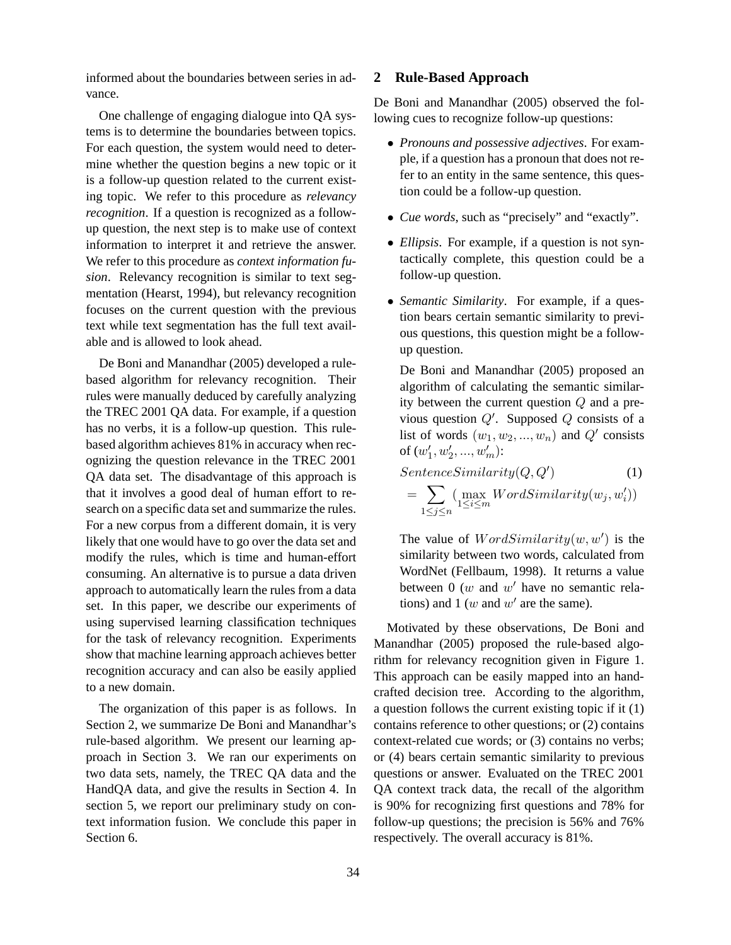informed about the boundaries between series in advance.

One challenge of engaging dialogue into QA systems is to determine the boundaries between topics. For each question, the system would need to determine whether the question begins a new topic or it is a follow-up question related to the current existing topic. We refer to this procedure as *relevancy recognition*. If a question is recognized as a followup question, the next step is to make use of context information to interpret it and retrieve the answer. We refer to this procedure as *context information fusion*. Relevancy recognition is similar to text segmentation (Hearst, 1994), but relevancy recognition focuses on the current question with the previous text while text segmentation has the full text available and is allowed to look ahead.

De Boni and Manandhar (2005) developed a rulebased algorithm for relevancy recognition. Their rules were manually deduced by carefully analyzing the TREC 2001 QA data. For example, if a question has no verbs, it is a follow-up question. This rulebased algorithm achieves 81% in accuracy when recognizing the question relevance in the TREC 2001 QA data set. The disadvantage of this approach is that it involves a good deal of human effort to research on a specific data set and summarize the rules. For a new corpus from a different domain, it is very likely that one would have to go over the data set and modify the rules, which is time and human-effort consuming. An alternative is to pursue a data driven approach to automatically learn the rules from a data set. In this paper, we describe our experiments of using supervised learning classification techniques for the task of relevancy recognition. Experiments show that machine learning approach achieves better recognition accuracy and can also be easily applied to a new domain.

The organization of this paper is as follows. In Section 2, we summarize De Boni and Manandhar's rule-based algorithm. We present our learning approach in Section 3. We ran our experiments on two data sets, namely, the TREC QA data and the HandQA data, and give the results in Section 4. In section 5, we report our preliminary study on context information fusion. We conclude this paper in Section 6.

## **2 Rule-Based Approach**

De Boni and Manandhar (2005) observed the following cues to recognize follow-up questions:

- *Pronouns and possessive adjectives*. For example, if a question has a pronoun that does not refer to an entity in the same sentence, this question could be a follow-up question.
- *Cue words*, such as "precisely" and "exactly".
- *Ellipsis*. For example, if a question is not syntactically complete, this question could be a follow-up question.
- *Semantic Similarity*. For example, if a question bears certain semantic similarity to previous questions, this question might be a followup question.

De Boni and Manandhar (2005) proposed an algorithm of calculating the semantic similarity between the current question Q and a previous question  $Q'$ . Supposed  $Q$  consists of a list of words  $(w_1, w_2, ..., w_n)$  and  $Q'$  consists of  $(w'_1, w'_2, ..., w'_m)$ :

$$
Sentence Similarity(Q, Q')
$$
\n
$$
= \sum_{1 \le j \le n} \left( \max_{1 \le i \le m} WordSimilarity(w_j, w'_i) \right)
$$
\n(1)

The value of  $WordSimilarity(w, w')$  is the similarity between two words, calculated from WordNet (Fellbaum, 1998). It returns a value between  $0 \ (w$  and  $w'$  have no semantic relations) and  $1 (w$  and  $w'$  are the same).

Motivated by these observations, De Boni and Manandhar (2005) proposed the rule-based algorithm for relevancy recognition given in Figure 1. This approach can be easily mapped into an handcrafted decision tree. According to the algorithm, a question follows the current existing topic if it (1) contains reference to other questions; or (2) contains context-related cue words; or (3) contains no verbs; or (4) bears certain semantic similarity to previous questions or answer. Evaluated on the TREC 2001 QA context track data, the recall of the algorithm is 90% for recognizing first questions and 78% for follow-up questions; the precision is 56% and 76% respectively. The overall accuracy is 81%.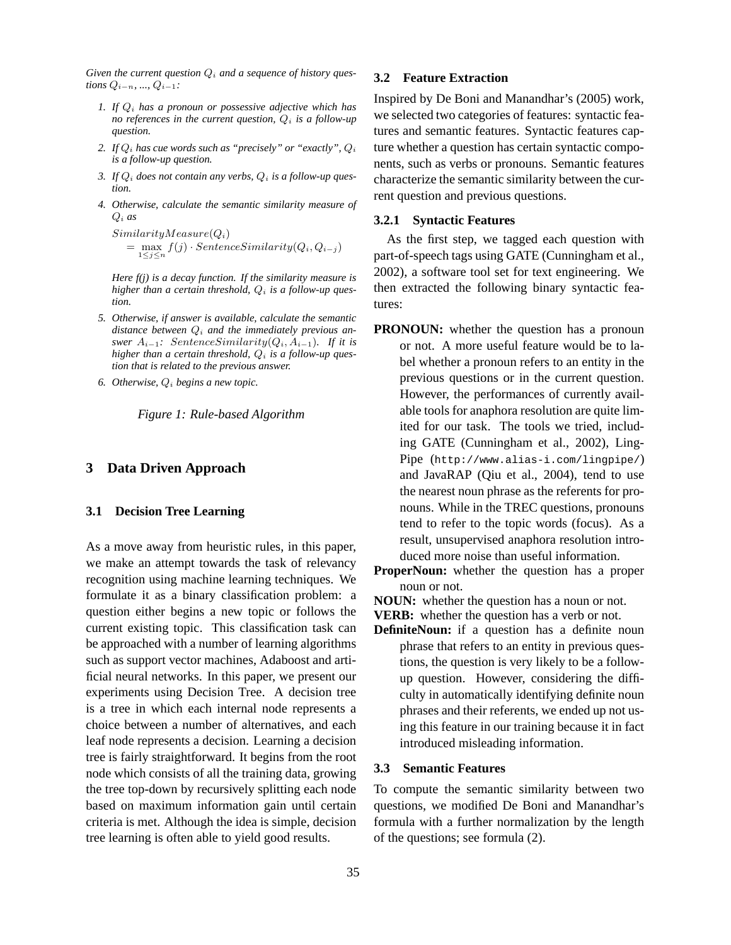Given the current question  $Q_i$  and a sequence of history ques*tions*  $Q_{i-n}, ..., Q_{i-1}$ *:* 

- *1. If* Q<sup>i</sup> *has a pronoun or possessive adjective which has no* references in the current question,  $Q_i$  is a follow-up *question.*
- 2. If  $Q_i$  has cue words such as "precisely" or "exactly",  $Q_i$ *is a follow-up question.*
- 3. If  $Q_i$  *does not contain any verbs,*  $Q_i$  *is a follow-up question.*
- *4. Otherwise, calculate the semantic similarity measure of* Q<sup>i</sup> *as*

 $SimilarityMeasure(Q_i)$  $=\max_{1\leq j\leq n} f(j) \cdot \text{Sentence} Similarity(Q_i, Q_{i-j})$ 

*Here f(j) is a decay function. If the similarity measure is higher than a certain threshold*,  $Q_i$  *is a follow-up question.*

- *5. Otherwise, if answer is available, calculate the semantic* distance between  $Q_i$  and the *immediately previous* an*swer*  $A_{i-1}$ : SentenceSimilarity( $Q_i, A_{i-1}$ ). If it is *higher than a certain threshold*,  $Q_i$  *is a follow-up question that is related to the previous answer.*
- 6. *Otherwise*,  $Q_i$  *begins a new topic.*

*Figure 1: Rule-based Algorithm*

#### **3 Data Driven Approach**

#### **3.1 Decision Tree Learning**

As a move away from heuristic rules, in this paper, we make an attempt towards the task of relevancy recognition using machine learning techniques. We formulate it as a binary classification problem: a question either begins a new topic or follows the current existing topic. This classification task can be approached with a number of learning algorithms such as support vector machines, Adaboost and artificial neural networks. In this paper, we present our experiments using Decision Tree. A decision tree is a tree in which each internal node represents a choice between a number of alternatives, and each leaf node represents a decision. Learning a decision tree is fairly straightforward. It begins from the root node which consists of all the training data, growing the tree top-down by recursively splitting each node based on maximum information gain until certain criteria is met. Although the idea is simple, decision tree learning is often able to yield good results.

#### **3.2 Feature Extraction**

Inspired by De Boni and Manandhar's (2005) work, we selected two categories of features: syntactic features and semantic features. Syntactic features capture whether a question has certain syntactic components, such as verbs or pronouns. Semantic features characterize the semantic similarity between the current question and previous questions.

#### **3.2.1 Syntactic Features**

As the first step, we tagged each question with part-of-speech tags using GATE (Cunningham et al., 2002), a software tool set for text engineering. We then extracted the following binary syntactic features:

- **PRONOUN:** whether the question has a pronoun or not. A more useful feature would be to label whether a pronoun refers to an entity in the previous questions or in the current question. However, the performances of currently available tools for anaphora resolution are quite limited for our task. The tools we tried, including GATE (Cunningham et al., 2002), Ling-Pipe (http://www.alias-i.com/lingpipe/) and JavaRAP (Qiu et al., 2004), tend to use the nearest noun phrase as the referents for pronouns. While in the TREC questions, pronouns tend to refer to the topic words (focus). As a result, unsupervised anaphora resolution introduced more noise than useful information.
- **ProperNoun:** whether the question has a proper noun or not.
- **NOUN:** whether the question has a noun or not.
- **VERB:** whether the question has a verb or not.
- **DefiniteNoun:** if a question has a definite noun phrase that refers to an entity in previous questions, the question is very likely to be a followup question. However, considering the difficulty in automatically identifying definite noun phrases and their referents, we ended up not using this feature in our training because it in fact introduced misleading information.

#### **3.3 Semantic Features**

To compute the semantic similarity between two questions, we modified De Boni and Manandhar's formula with a further normalization by the length of the questions; see formula (2).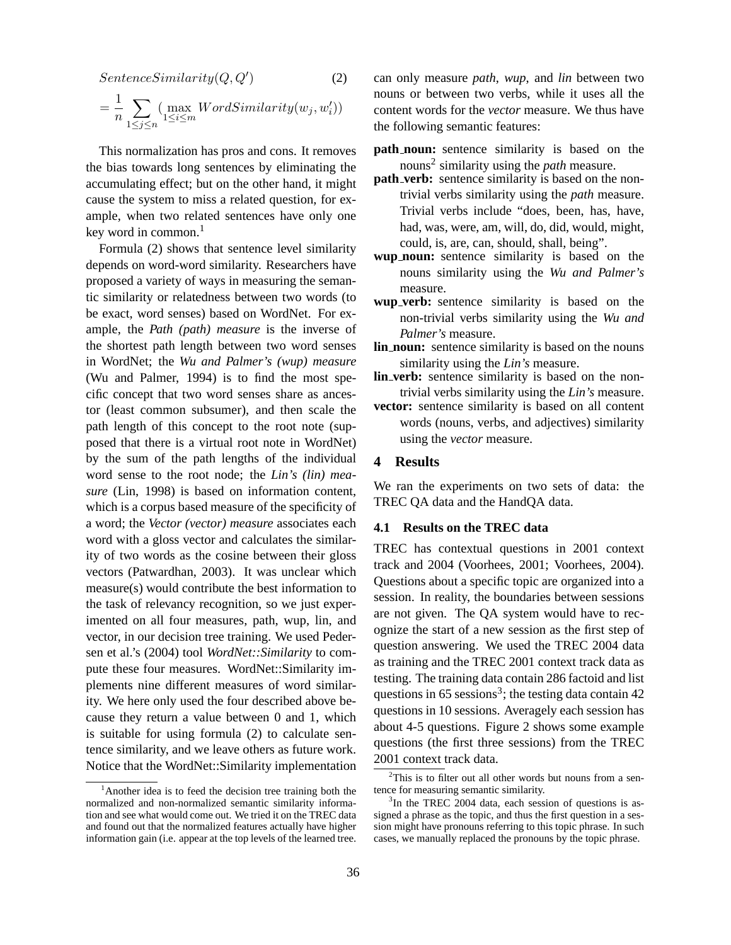$$
Sentence Similarity(Q, Q')
$$
\n
$$
= \frac{1}{n} \sum_{1 \le j \le n} \left( \max_{1 \le i \le m} WordSimilarity(w_j, w'_i) \right)
$$
\n
$$
(2)
$$

This normalization has pros and cons. It removes the bias towards long sentences by eliminating the accumulating effect; but on the other hand, it might cause the system to miss a related question, for example, when two related sentences have only one key word in common. $<sup>1</sup>$ </sup>

Formula (2) shows that sentence level similarity depends on word-word similarity. Researchers have proposed a variety of ways in measuring the semantic similarity or relatedness between two words (to be exact, word senses) based on WordNet. For example, the *Path (path) measure* is the inverse of the shortest path length between two word senses in WordNet; the *Wu and Palmer's (wup) measure* (Wu and Palmer, 1994) is to find the most specific concept that two word senses share as ancestor (least common subsumer), and then scale the path length of this concept to the root note (supposed that there is a virtual root note in WordNet) by the sum of the path lengths of the individual word sense to the root node; the *Lin's (lin) measure* (Lin, 1998) is based on information content, which is a corpus based measure of the specificity of a word; the *Vector (vector) measure* associates each word with a gloss vector and calculates the similarity of two words as the cosine between their gloss vectors (Patwardhan, 2003). It was unclear which measure(s) would contribute the best information to the task of relevancy recognition, so we just experimented on all four measures, path, wup, lin, and vector, in our decision tree training. We used Pedersen et al.'s (2004) tool *WordNet::Similarity* to compute these four measures. WordNet::Similarity implements nine different measures of word similarity. We here only used the four described above because they return a value between 0 and 1, which is suitable for using formula (2) to calculate sentence similarity, and we leave others as future work. Notice that the WordNet::Similarity implementation can only measure *path*, *wup*, and *lin* between two nouns or between two verbs, while it uses all the content words for the *vector* measure. We thus have the following semantic features:

- **path\_noun:** sentence similarity is based on the nouns<sup>2</sup> similarity using the *path* measure.
- **path\_verb:** sentence similarity is based on the nontrivial verbs similarity using the *path* measure. Trivial verbs include "does, been, has, have, had, was, were, am, will, do, did, would, might, could, is, are, can, should, shall, being".
- **wup noun:** sentence similarity is based on the nouns similarity using the *Wu and Palmer's* measure.
- **wup verb:** sentence similarity is based on the non-trivial verbs similarity using the *Wu and Palmer's* measure.
- **lin noun:** sentence similarity is based on the nouns similarity using the *Lin's* measure.
- **lin\_verb:** sentence similarity is based on the nontrivial verbs similarity using the *Lin's* measure.
- **vector:** sentence similarity is based on all content words (nouns, verbs, and adjectives) similarity using the *vector* measure.

## **4 Results**

We ran the experiments on two sets of data: the TREC QA data and the HandQA data.

#### **4.1 Results on the TREC data**

TREC has contextual questions in 2001 context track and 2004 (Voorhees, 2001; Voorhees, 2004). Questions about a specific topic are organized into a session. In reality, the boundaries between sessions are not given. The QA system would have to recognize the start of a new session as the first step of question answering. We used the TREC 2004 data as training and the TREC 2001 context track data as testing. The training data contain 286 factoid and list questions in 65 sessions<sup>3</sup>; the testing data contain 42 questions in 10 sessions. Averagely each session has about 4-5 questions. Figure 2 shows some example questions (the first three sessions) from the TREC 2001 context track data.

 $1$ Another idea is to feed the decision tree training both the normalized and non-normalized semantic similarity information and see what would come out. We tried it on the TREC data and found out that the normalized features actually have higher information gain (i.e. appear at the top levels of the learned tree.

 $2$ This is to filter out all other words but nouns from a sentence for measuring semantic similarity.

<sup>&</sup>lt;sup>3</sup>In the TREC 2004 data, each session of questions is assigned a phrase as the topic, and thus the first question in a session might have pronouns referring to this topic phrase. In such cases, we manually replaced the pronouns by the topic phrase.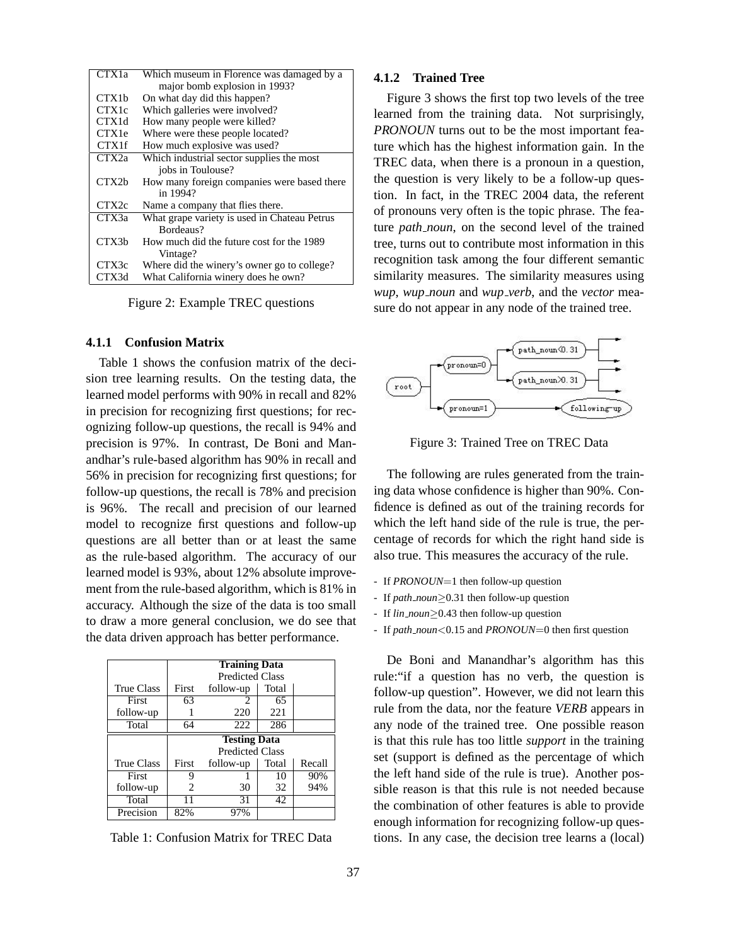| CTX <sub>1</sub> a | Which museum in Florence was damaged by a    |
|--------------------|----------------------------------------------|
|                    | major bomb explosion in 1993?                |
| CTX <sub>1</sub> b | On what day did this happen?                 |
| CTX1c              | Which galleries were involved?               |
| CTX1d              | How many people were killed?                 |
| <b>CTX1e</b>       | Where were these people located?             |
| <b>CTX1f</b>       | How much explosive was used?                 |
| CTX <sub>2a</sub>  | Which industrial sector supplies the most    |
|                    | jobs in Toulouse?                            |
| CTX2b              | How many foreign companies were based there  |
|                    | in 1994?                                     |
| CTX <sub>2c</sub>  | Name a company that flies there.             |
| CTX3a              | What grape variety is used in Chateau Petrus |
|                    | Bordeaus?                                    |
| CTX3h              | How much did the future cost for the 1989    |
|                    | Vintage?                                     |
| CTX3c              | Where did the winery's owner go to college?  |
| CTX3d              | What California winery does he own?          |

Figure 2: Example TREC questions

## **4.1.1 Confusion Matrix**

Table 1 shows the confusion matrix of the decision tree learning results. On the testing data, the learned model performs with 90% in recall and 82% in precision for recognizing first questions; for recognizing follow-up questions, the recall is 94% and precision is 97%. In contrast, De Boni and Manandhar's rule-based algorithm has 90% in recall and 56% in precision for recognizing first questions; for follow-up questions, the recall is 78% and precision is 96%. The recall and precision of our learned model to recognize first questions and follow-up questions are all better than or at least the same as the rule-based algorithm. The accuracy of our learned model is 93%, about 12% absolute improvement from the rule-based algorithm, which is 81% in accuracy. Although the size of the data is too small to draw a more general conclusion, we do see that the data driven approach has better performance.

|                   | <b>Training Data</b>   |                             |       |        |  |
|-------------------|------------------------|-----------------------------|-------|--------|--|
|                   | <b>Predicted Class</b> |                             |       |        |  |
| <b>True Class</b> | First                  | follow-up                   | Total |        |  |
| First             | 63                     | $\mathcal{D}_{\mathcal{L}}$ | 65    |        |  |
| follow-up         |                        | 220                         | 221   |        |  |
| Total             | 64                     | 222                         | 286   |        |  |
|                   |                        | <b>Testing Data</b>         |       |        |  |
|                   | <b>Predicted Class</b> |                             |       |        |  |
| <b>True Class</b> | First                  | follow-up                   | Total | Recall |  |
| First             | 9                      |                             | 10    | 90%    |  |
| follow-up         | 2                      | 30                          | 32    | 94%    |  |
|                   |                        |                             |       |        |  |
| Total             |                        | 31                          | 42    |        |  |

Table 1: Confusion Matrix for TREC Data

#### **4.1.2 Trained Tree**

Figure 3 shows the first top two levels of the tree learned from the training data. Not surprisingly, *PRONOUN* turns out to be the most important feature which has the highest information gain. In the TREC data, when there is a pronoun in a question, the question is very likely to be a follow-up question. In fact, in the TREC 2004 data, the referent of pronouns very often is the topic phrase. The feature *path noun*, on the second level of the trained tree, turns out to contribute most information in this recognition task among the four different semantic similarity measures. The similarity measures using *wup*, *wup noun* and *wup verb*, and the *vector* measure do not appear in any node of the trained tree.



Figure 3: Trained Tree on TREC Data

The following are rules generated from the training data whose confidence is higher than 90%. Confidence is defined as out of the training records for which the left hand side of the rule is true, the percentage of records for which the right hand side is also true. This measures the accuracy of the rule.

- If *PRONOUN*=1 then follow-up question
- If *path noun*≥0.31 then follow-up question
- If *lin noun*≥0.43 then follow-up question
- If *path noun*<0.15 and *PRONOUN*=0 then first question

De Boni and Manandhar's algorithm has this rule:"if a question has no verb, the question is follow-up question". However, we did not learn this rule from the data, nor the feature *VERB* appears in any node of the trained tree. One possible reason is that this rule has too little *support* in the training set (support is defined as the percentage of which the left hand side of the rule is true). Another possible reason is that this rule is not needed because the combination of other features is able to provide enough information for recognizing follow-up questions. In any case, the decision tree learns a (local)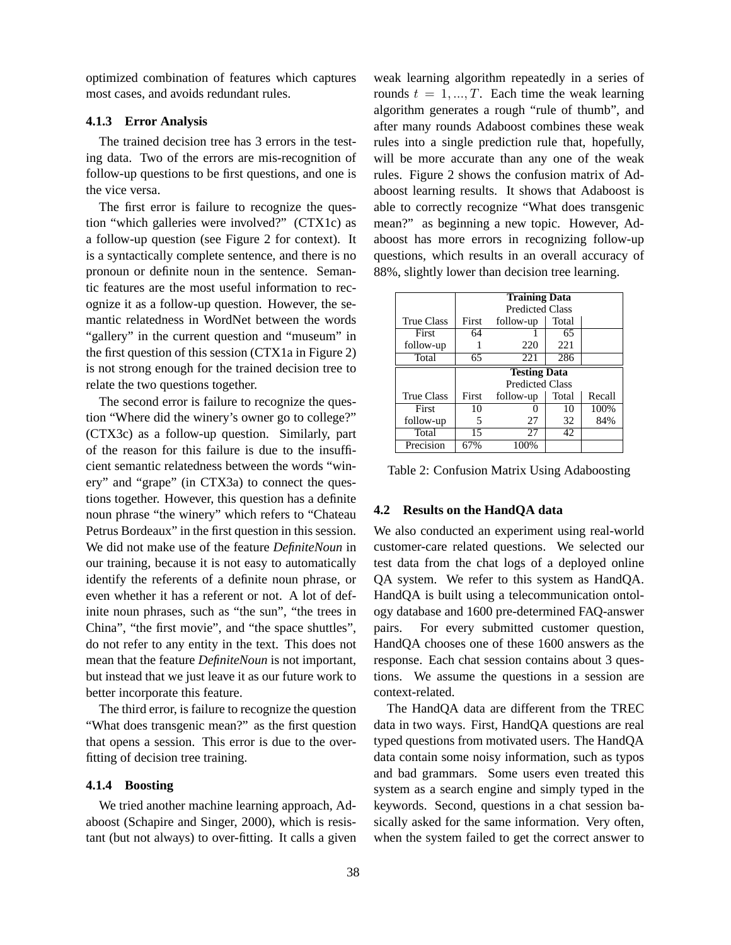optimized combination of features which captures most cases, and avoids redundant rules.

## **4.1.3 Error Analysis**

The trained decision tree has 3 errors in the testing data. Two of the errors are mis-recognition of follow-up questions to be first questions, and one is the vice versa.

The first error is failure to recognize the question "which galleries were involved?" (CTX1c) as a follow-up question (see Figure 2 for context). It is a syntactically complete sentence, and there is no pronoun or definite noun in the sentence. Semantic features are the most useful information to recognize it as a follow-up question. However, the semantic relatedness in WordNet between the words "gallery" in the current question and "museum" in the first question of this session (CTX1a in Figure 2) is not strong enough for the trained decision tree to relate the two questions together.

The second error is failure to recognize the question "Where did the winery's owner go to college?" (CTX3c) as a follow-up question. Similarly, part of the reason for this failure is due to the insufficient semantic relatedness between the words "winery" and "grape" (in CTX3a) to connect the questions together. However, this question has a definite noun phrase "the winery" which refers to "Chateau Petrus Bordeaux" in the first question in this session. We did not make use of the feature *DefiniteNoun* in our training, because it is not easy to automatically identify the referents of a definite noun phrase, or even whether it has a referent or not. A lot of definite noun phrases, such as "the sun", "the trees in China", "the first movie", and "the space shuttles", do not refer to any entity in the text. This does not mean that the feature *DefiniteNoun* is not important, but instead that we just leave it as our future work to better incorporate this feature.

The third error, is failure to recognize the question "What does transgenic mean?" as the first question that opens a session. This error is due to the overfitting of decision tree training.

### **4.1.4 Boosting**

We tried another machine learning approach, Adaboost (Schapire and Singer, 2000), which is resistant (but not always) to over-fitting. It calls a given weak learning algorithm repeatedly in a series of rounds  $t = 1, ..., T$ . Each time the weak learning algorithm generates a rough "rule of thumb", and after many rounds Adaboost combines these weak rules into a single prediction rule that, hopefully, will be more accurate than any one of the weak rules. Figure 2 shows the confusion matrix of Adaboost learning results. It shows that Adaboost is able to correctly recognize "What does transgenic mean?" as beginning a new topic. However, Adaboost has more errors in recognizing follow-up questions, which results in an overall accuracy of 88%, slightly lower than decision tree learning.

|                   | <b>Training Data</b>   |                   |       |        |
|-------------------|------------------------|-------------------|-------|--------|
|                   | <b>Predicted Class</b> |                   |       |        |
| <b>True Class</b> | First                  | follow-up         | Total |        |
| First             | 64                     |                   | 65    |        |
| follow-up         |                        | 220               | 221   |        |
| Total             | 65                     | 221               | 286   |        |
|                   | <b>Testing Data</b>    |                   |       |        |
|                   | <b>Predicted Class</b> |                   |       |        |
| <b>True Class</b> | First                  | follow-up         | Total | Recall |
| First             | 10                     | $\mathbf{\Omega}$ | 10    | 100%   |
| follow-up         | 5                      | 27                | 32    | 84%    |
| Total             | 15                     | 27                | 42    |        |
| Precision         | 67%                    | 100%              |       |        |

Table 2: Confusion Matrix Using Adaboosting

#### **4.2 Results on the HandQA data**

We also conducted an experiment using real-world customer-care related questions. We selected our test data from the chat logs of a deployed online QA system. We refer to this system as HandQA. HandQA is built using a telecommunication ontology database and 1600 pre-determined FAQ-answer pairs. For every submitted customer question, HandQA chooses one of these 1600 answers as the response. Each chat session contains about 3 questions. We assume the questions in a session are context-related.

The HandQA data are different from the TREC data in two ways. First, HandQA questions are real typed questions from motivated users. The HandQA data contain some noisy information, such as typos and bad grammars. Some users even treated this system as a search engine and simply typed in the keywords. Second, questions in a chat session basically asked for the same information. Very often, when the system failed to get the correct answer to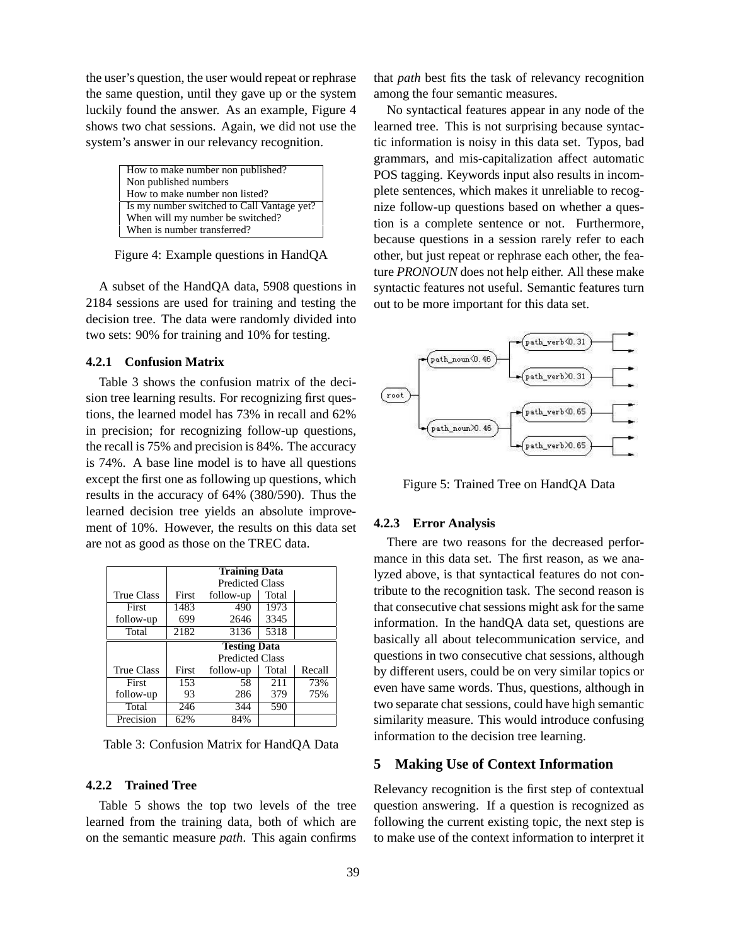the user's question, the user would repeat or rephrase the same question, until they gave up or the system luckily found the answer. As an example, Figure 4 shows two chat sessions. Again, we did not use the system's answer in our relevancy recognition.

| How to make number non published?          |
|--------------------------------------------|
| Non published numbers                      |
| How to make number non listed?             |
| Is my number switched to Call Vantage yet? |
| When will my number be switched?           |
| When is number transferred?                |

Figure 4: Example questions in HandQA

A subset of the HandQA data, 5908 questions in 2184 sessions are used for training and testing the decision tree. The data were randomly divided into two sets: 90% for training and 10% for testing.

## **4.2.1 Confusion Matrix**

Table 3 shows the confusion matrix of the decision tree learning results. For recognizing first questions, the learned model has 73% in recall and 62% in precision; for recognizing follow-up questions, the recall is 75% and precision is 84%. The accuracy is 74%. A base line model is to have all questions except the first one as following up questions, which results in the accuracy of 64% (380/590). Thus the learned decision tree yields an absolute improvement of 10%. However, the results on this data set are not as good as those on the TREC data.

|                   | <b>Training Data</b>   |                        |       |        |
|-------------------|------------------------|------------------------|-------|--------|
|                   | <b>Predicted Class</b> |                        |       |        |
| <b>True Class</b> | First                  | follow-up              | Total |        |
| First             | 1483                   | 490                    | 1973  |        |
| follow-up         | 699                    | 2646                   | 3345  |        |
| Total             | 2182                   | 3136                   | 5318  |        |
|                   | <b>Testing Data</b>    |                        |       |        |
|                   |                        |                        |       |        |
|                   |                        | <b>Predicted Class</b> |       |        |
| <b>True Class</b> | First                  | follow-up              | Total | Recall |
| First             | 153                    | 58                     | 211   | 73%    |
| follow-up         | 93                     | 286                    | 379   | 75%    |
| Total             | 246                    | 344                    | 590   |        |

Table 3: Confusion Matrix for HandQA Data

## **4.2.2 Trained Tree**

Table 5 shows the top two levels of the tree learned from the training data, both of which are on the semantic measure *path*. This again confirms that *path* best fits the task of relevancy recognition among the four semantic measures.

No syntactical features appear in any node of the learned tree. This is not surprising because syntactic information is noisy in this data set. Typos, bad grammars, and mis-capitalization affect automatic POS tagging. Keywords input also results in incomplete sentences, which makes it unreliable to recognize follow-up questions based on whether a question is a complete sentence or not. Furthermore, because questions in a session rarely refer to each other, but just repeat or rephrase each other, the feature *PRONOUN* does not help either. All these make syntactic features not useful. Semantic features turn out to be more important for this data set.



Figure 5: Trained Tree on HandQA Data

#### **4.2.3 Error Analysis**

There are two reasons for the decreased performance in this data set. The first reason, as we analyzed above, is that syntactical features do not contribute to the recognition task. The second reason is that consecutive chat sessions might ask for the same information. In the handQA data set, questions are basically all about telecommunication service, and questions in two consecutive chat sessions, although by different users, could be on very similar topics or even have same words. Thus, questions, although in two separate chat sessions, could have high semantic similarity measure. This would introduce confusing information to the decision tree learning.

## **5 Making Use of Context Information**

Relevancy recognition is the first step of contextual question answering. If a question is recognized as following the current existing topic, the next step is to make use of the context information to interpret it